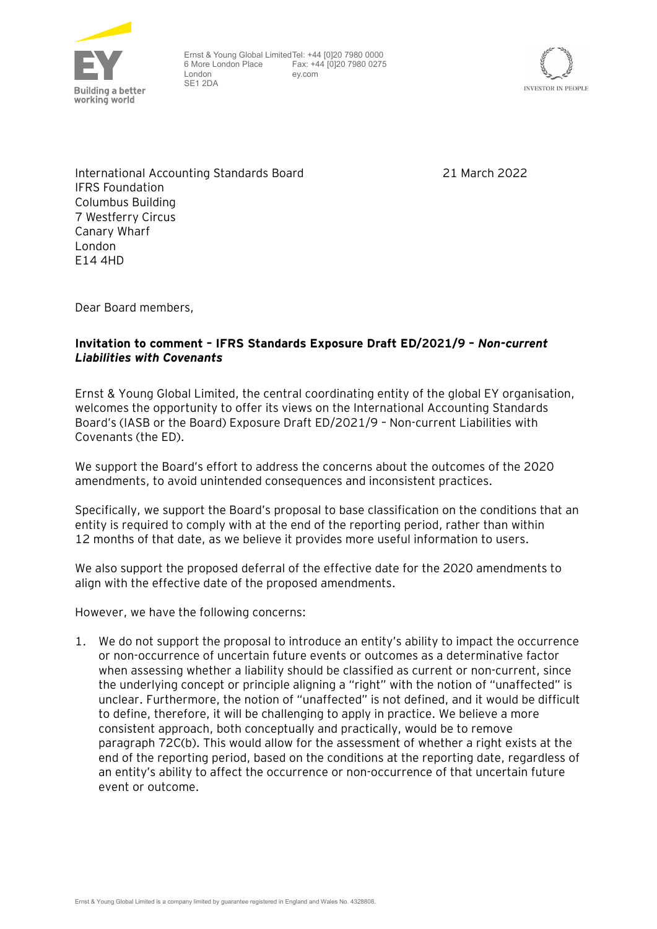

Ernst & Young Global Limited Tel: +44 [0]20 7980 0000 6 More London Place London SE1 2DA Fax: +44 [0]20 7980 0275 ey.com



International Accounting Standards Board IFRS Foundation Columbus Building 7 Westferry Circus Canary Wharf London E14 4HD

21 March 2022

Dear Board members,

### **Invitation to comment – IFRS Standards Exposure Draft ED/2021/9 –** *Non-current Liabilities with Covenants*

Ernst & Young Global Limited, the central coordinating entity of the global EY organisation, welcomes the opportunity to offer its views on the International Accounting Standards Board's (IASB or the Board) Exposure Draft ED/2021/9 – Non-current Liabilities with Covenants (the ED).

We support the Board's effort to address the concerns about the outcomes of the 2020 amendments, to avoid unintended consequences and inconsistent practices.

Specifically, we support the Board's proposal to base classification on the conditions that an entity is required to comply with at the end of the reporting period, rather than within 12 months of that date, as we believe it provides more useful information to users.

We also support the proposed deferral of the effective date for the 2020 amendments to align with the effective date of the proposed amendments.

However, we have the following concerns:

1. We do not support the proposal to introduce an entity's ability to impact the occurrence or non-occurrence of uncertain future events or outcomes as a determinative factor when assessing whether a liability should be classified as current or non-current, since the underlying concept or principle aligning a "right" with the notion of "unaffected" is unclear. Furthermore, the notion of "unaffected" is not defined, and it would be difficult to define, therefore, it will be challenging to apply in practice. We believe a more consistent approach, both conceptually and practically, would be to remove paragraph 72C(b). This would allow for the assessment of whether a right exists at the end of the reporting period, based on the conditions at the reporting date, regardless of an entity's ability to affect the occurrence or non-occurrence of that uncertain future event or outcome.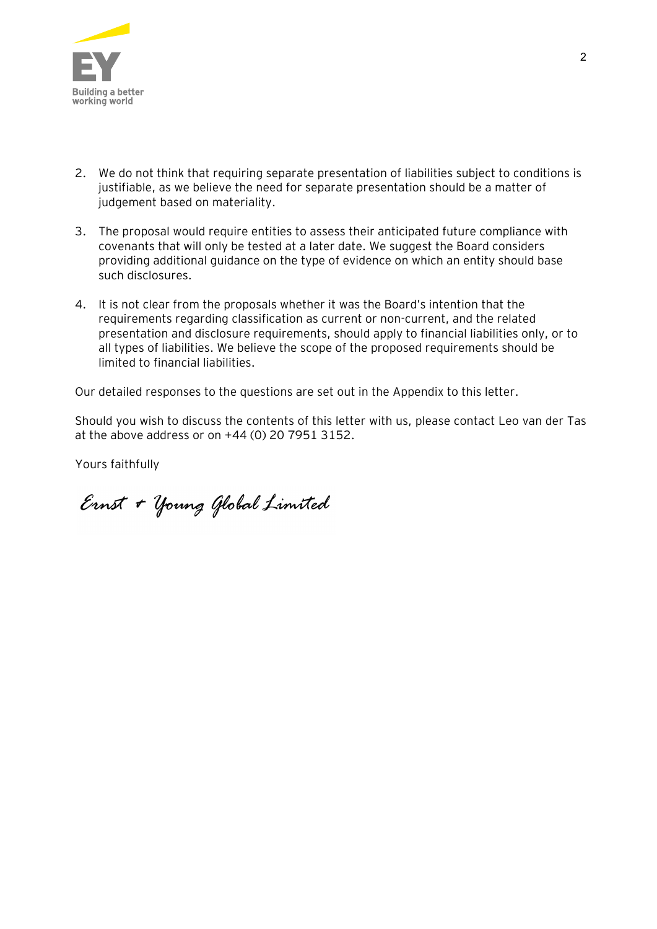

- 2. We do not think that requiring separate presentation of liabilities subject to conditions is justifiable, as we believe the need for separate presentation should be a matter of judgement based on materiality.
- 3. The proposal would require entities to assess their anticipated future compliance with covenants that will only be tested at a later date. We suggest the Board considers providing additional guidance on the type of evidence on which an entity should base such disclosures.
- 4. It is not clear from the proposals whether it was the Board's intention that the requirements regarding classification as current or non-current, and the related presentation and disclosure requirements, should apply to financial liabilities only, or to all types of liabilities. We believe the scope of the proposed requirements should be limited to financial liabilities.

Our detailed responses to the questions are set out in the Appendix to this letter.

Should you wish to discuss the contents of this letter with us, please contact Leo van der Tas at the above address or on +44 (0) 20 7951 3152.

Yours faithfully

Ernst + Young Global Limited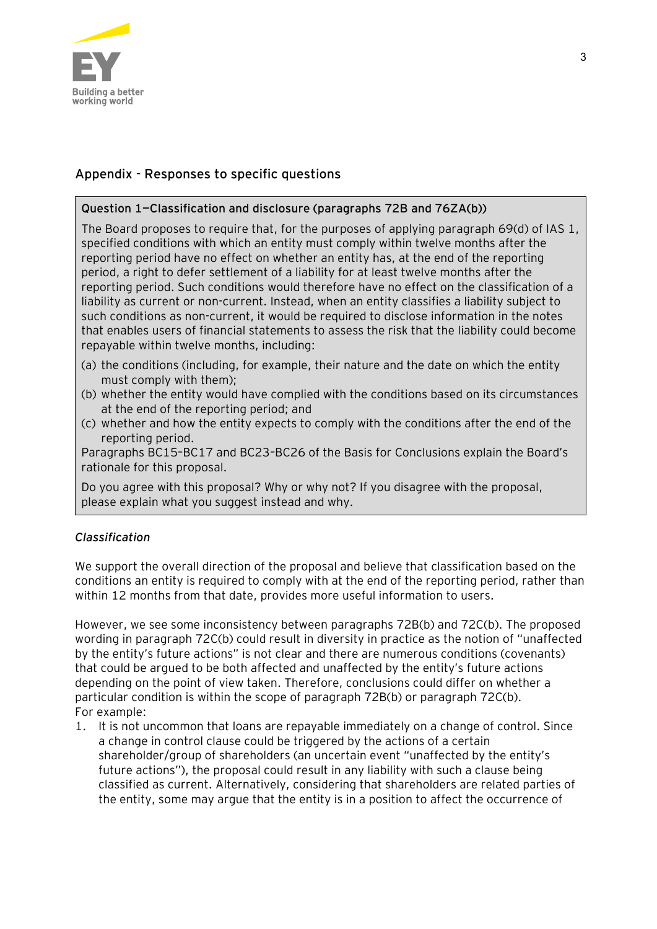

# **Appendix - Responses to specific questions**

## **Question 1—Classification and disclosure (paragraphs 72B and 76ZA(b))**

The Board proposes to require that, for the purposes of applying paragraph 69(d) of IAS 1, specified conditions with which an entity must comply within twelve months after the reporting period have no effect on whether an entity has, at the end of the reporting period, a right to defer settlement of a liability for at least twelve months after the reporting period. Such conditions would therefore have no effect on the classification of a liability as current or non-current. Instead, when an entity classifies a liability subject to such conditions as non-current, it would be required to disclose information in the notes that enables users of financial statements to assess the risk that the liability could become repayable within twelve months, including:

- (a) the conditions (including, for example, their nature and the date on which the entity must comply with them);
- (b) whether the entity would have complied with the conditions based on its circumstances at the end of the reporting period; and
- (c) whether and how the entity expects to comply with the conditions after the end of the reporting period.

Paragraphs BC15–BC17 and BC23–BC26 of the Basis for Conclusions explain the Board's rationale for this proposal.

Do you agree with this proposal? Why or why not? If you disagree with the proposal, please explain what you suggest instead and why.

## *Classification*

We support the overall direction of the proposal and believe that classification based on the conditions an entity is required to comply with at the end of the reporting period, rather than within 12 months from that date, provides more useful information to users.

However, we see some inconsistency between paragraphs 72B(b) and 72C(b). The proposed wording in paragraph 72C(b) could result in diversity in practice as the notion of "unaffected by the entity's future actions" is not clear and there are numerous conditions (covenants) that could be argued to be both affected and unaffected by the entity's future actions depending on the point of view taken. Therefore, conclusions could differ on whether a particular condition is within the scope of paragraph 72B(b) or paragraph 72C(b). For example:

1. It is not uncommon that loans are repayable immediately on a change of control. Since a change in control clause could be triggered by the actions of a certain shareholder/group of shareholders (an uncertain event "unaffected by the entity's future actions"), the proposal could result in any liability with such a clause being classified as current. Alternatively, considering that shareholders are related parties of the entity, some may argue that the entity is in a position to affect the occurrence of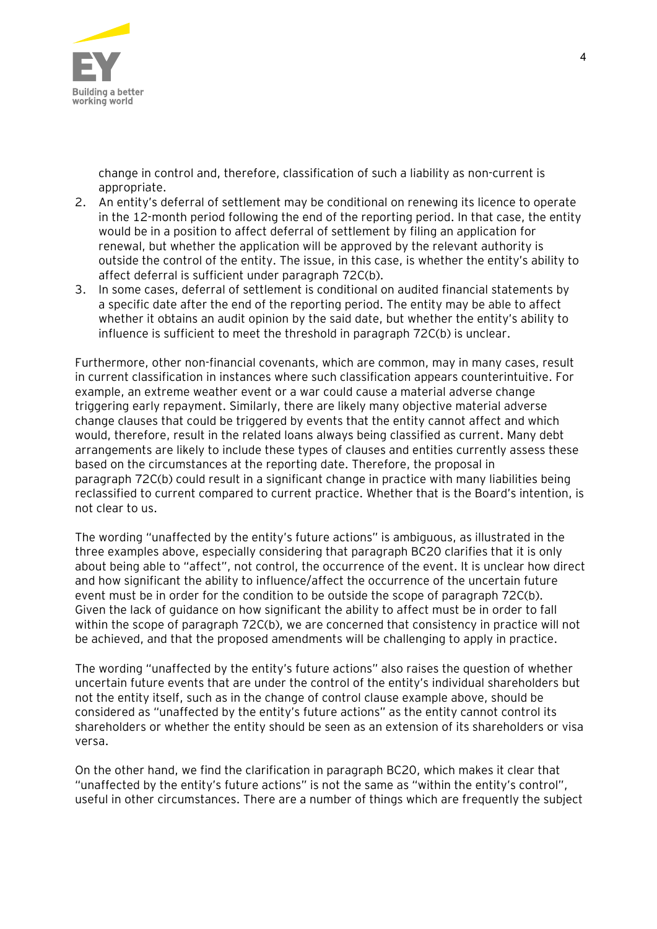

change in control and, therefore, classification of such a liability as non-current is appropriate.

- 2. An entity's deferral of settlement may be conditional on renewing its licence to operate in the 12-month period following the end of the reporting period. In that case, the entity would be in a position to affect deferral of settlement by filing an application for renewal, but whether the application will be approved by the relevant authority is outside the control of the entity. The issue, in this case, is whether the entity's ability to affect deferral is sufficient under paragraph 72C(b).
- 3. In some cases, deferral of settlement is conditional on audited financial statements by a specific date after the end of the reporting period. The entity may be able to affect whether it obtains an audit opinion by the said date, but whether the entity's ability to influence is sufficient to meet the threshold in paragraph 72C(b) is unclear.

Furthermore, other non-financial covenants, which are common, may in many cases, result in current classification in instances where such classification appears counterintuitive. For example, an extreme weather event or a war could cause a material adverse change triggering early repayment. Similarly, there are likely many objective material adverse change clauses that could be triggered by events that the entity cannot affect and which would, therefore, result in the related loans always being classified as current. Many debt arrangements are likely to include these types of clauses and entities currently assess these based on the circumstances at the reporting date. Therefore, the proposal in paragraph 72C(b) could result in a significant change in practice with many liabilities being reclassified to current compared to current practice. Whether that is the Board's intention, is not clear to us.

The wording "unaffected by the entity's future actions" is ambiguous, as illustrated in the three examples above, especially considering that paragraph BC20 clarifies that it is only about being able to "affect", not control, the occurrence of the event. It is unclear how direct and how significant the ability to influence/affect the occurrence of the uncertain future event must be in order for the condition to be outside the scope of paragraph 72C(b). Given the lack of guidance on how significant the ability to affect must be in order to fall within the scope of paragraph 72C(b), we are concerned that consistency in practice will not be achieved, and that the proposed amendments will be challenging to apply in practice.

The wording "unaffected by the entity's future actions" also raises the question of whether uncertain future events that are under the control of the entity's individual shareholders but not the entity itself, such as in the change of control clause example above, should be considered as "unaffected by the entity's future actions" as the entity cannot control its shareholders or whether the entity should be seen as an extension of its shareholders or visa versa.

On the other hand, we find the clarification in paragraph BC20, which makes it clear that "unaffected by the entity's future actions" is not the same as "within the entity's control", useful in other circumstances. There are a number of things which are frequently the subject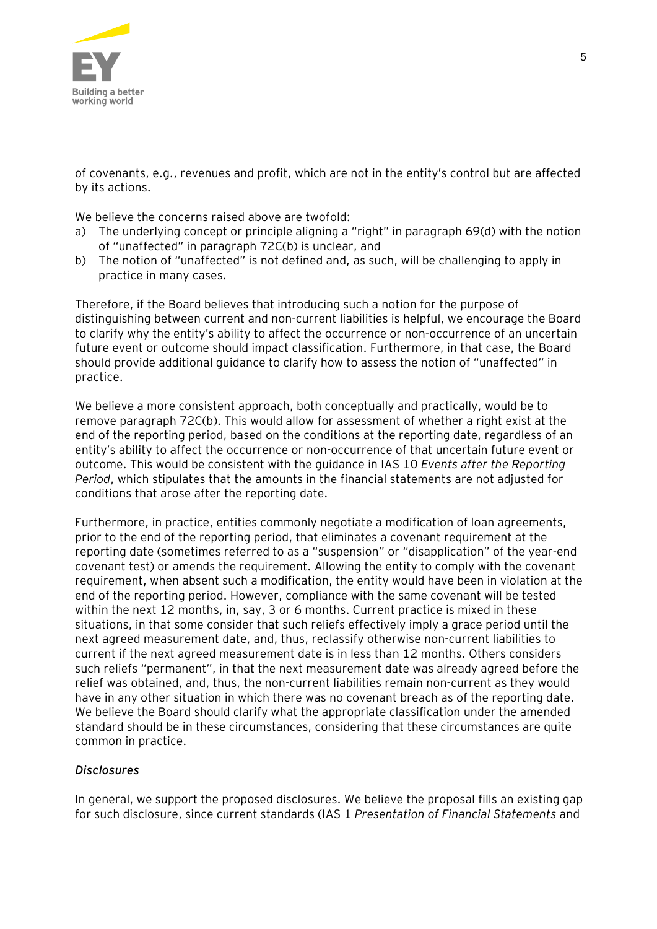

of covenants, e.g., revenues and profit, which are not in the entity's control but are affected by its actions.

We believe the concerns raised above are twofold:

- a) The underlying concept or principle aligning a "right" in paragraph 69(d) with the notion of "unaffected" in paragraph 72C(b) is unclear, and
- b) The notion of "unaffected" is not defined and, as such, will be challenging to apply in practice in many cases.

Therefore, if the Board believes that introducing such a notion for the purpose of distinguishing between current and non-current liabilities is helpful, we encourage the Board to clarify why the entity's ability to affect the occurrence or non-occurrence of an uncertain future event or outcome should impact classification. Furthermore, in that case, the Board should provide additional guidance to clarify how to assess the notion of "unaffected" in practice.

We believe a more consistent approach, both conceptually and practically, would be to remove paragraph 72C(b). This would allow for assessment of whether a right exist at the end of the reporting period, based on the conditions at the reporting date, regardless of an entity's ability to affect the occurrence or non-occurrence of that uncertain future event or outcome. This would be consistent with the guidance in IAS 10 *Events after the Reporting Period*, which stipulates that the amounts in the financial statements are not adjusted for conditions that arose after the reporting date.

Furthermore, in practice, entities commonly negotiate a modification of loan agreements, prior to the end of the reporting period, that eliminates a covenant requirement at the reporting date (sometimes referred to as a "suspension" or "disapplication" of the year-end covenant test) or amends the requirement. Allowing the entity to comply with the covenant requirement, when absent such a modification, the entity would have been in violation at the end of the reporting period. However, compliance with the same covenant will be tested within the next 12 months, in, say, 3 or 6 months. Current practice is mixed in these situations, in that some consider that such reliefs effectively imply a grace period until the next agreed measurement date, and, thus, reclassify otherwise non-current liabilities to current if the next agreed measurement date is in less than 12 months. Others considers such reliefs "permanent", in that the next measurement date was already agreed before the relief was obtained, and, thus, the non-current liabilities remain non-current as they would have in any other situation in which there was no covenant breach as of the reporting date. We believe the Board should clarify what the appropriate classification under the amended standard should be in these circumstances, considering that these circumstances are quite common in practice.

#### *Disclosures*

In general, we support the proposed disclosures. We believe the proposal fills an existing gap for such disclosure, since current standards (IAS 1 *Presentation of Financial Statements* and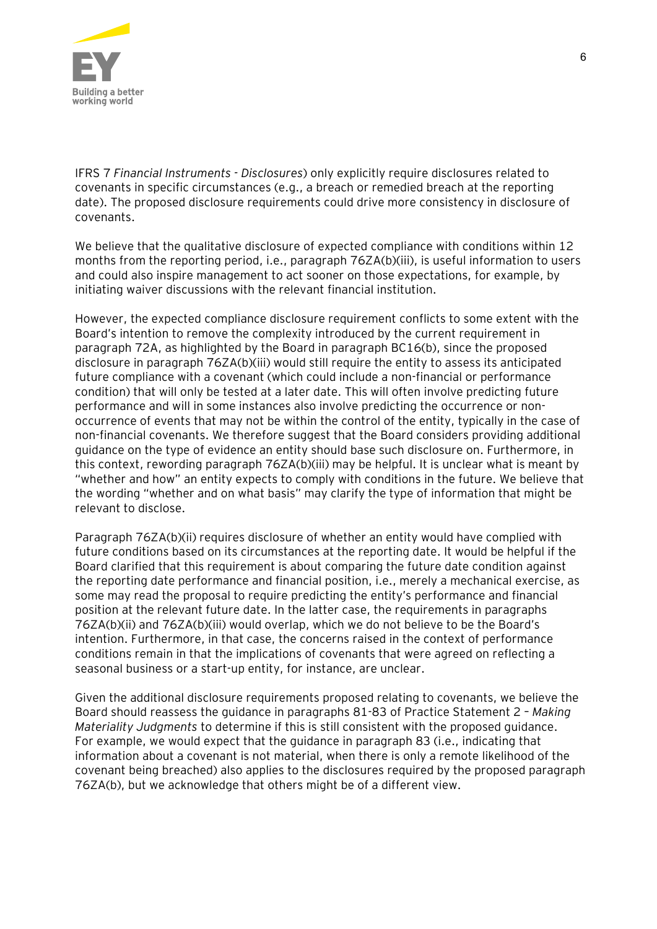

IFRS 7 *Financial Instruments - Disclosures*) only explicitly require disclosures related to covenants in specific circumstances (e.g., a breach or remedied breach at the reporting date). The proposed disclosure requirements could drive more consistency in disclosure of covenants.

We believe that the qualitative disclosure of expected compliance with conditions within 12 months from the reporting period, i.e., paragraph 76ZA(b)(iii), is useful information to users and could also inspire management to act sooner on those expectations, for example, by initiating waiver discussions with the relevant financial institution.

However, the expected compliance disclosure requirement conflicts to some extent with the Board's intention to remove the complexity introduced by the current requirement in paragraph 72A, as highlighted by the Board in paragraph BC16(b), since the proposed disclosure in paragraph 76ZA(b)(iii) would still require the entity to assess its anticipated future compliance with a covenant (which could include a non-financial or performance condition) that will only be tested at a later date. This will often involve predicting future performance and will in some instances also involve predicting the occurrence or nonoccurrence of events that may not be within the control of the entity, typically in the case of non-financial covenants. We therefore suggest that the Board considers providing additional guidance on the type of evidence an entity should base such disclosure on. Furthermore, in this context, rewording paragraph 76ZA(b)(iii) may be helpful. It is unclear what is meant by "whether and how" an entity expects to comply with conditions in the future. We believe that the wording "whether and on what basis" may clarify the type of information that might be relevant to disclose.

Paragraph 76ZA(b)(ii) requires disclosure of whether an entity would have complied with future conditions based on its circumstances at the reporting date. It would be helpful if the Board clarified that this requirement is about comparing the future date condition against the reporting date performance and financial position, i.e., merely a mechanical exercise, as some may read the proposal to require predicting the entity's performance and financial position at the relevant future date. In the latter case, the requirements in paragraphs 76ZA(b)(ii) and 76ZA(b)(iii) would overlap, which we do not believe to be the Board's intention. Furthermore, in that case, the concerns raised in the context of performance conditions remain in that the implications of covenants that were agreed on reflecting a seasonal business or a start-up entity, for instance, are unclear.

Given the additional disclosure requirements proposed relating to covenants, we believe the Board should reassess the guidance in paragraphs 81-83 of Practice Statement 2 – *Making Materiality Judgments* to determine if this is still consistent with the proposed guidance. For example, we would expect that the guidance in paragraph 83 (i.e., indicating that information about a covenant is not material, when there is only a remote likelihood of the covenant being breached) also applies to the disclosures required by the proposed paragraph 76ZA(b), but we acknowledge that others might be of a different view.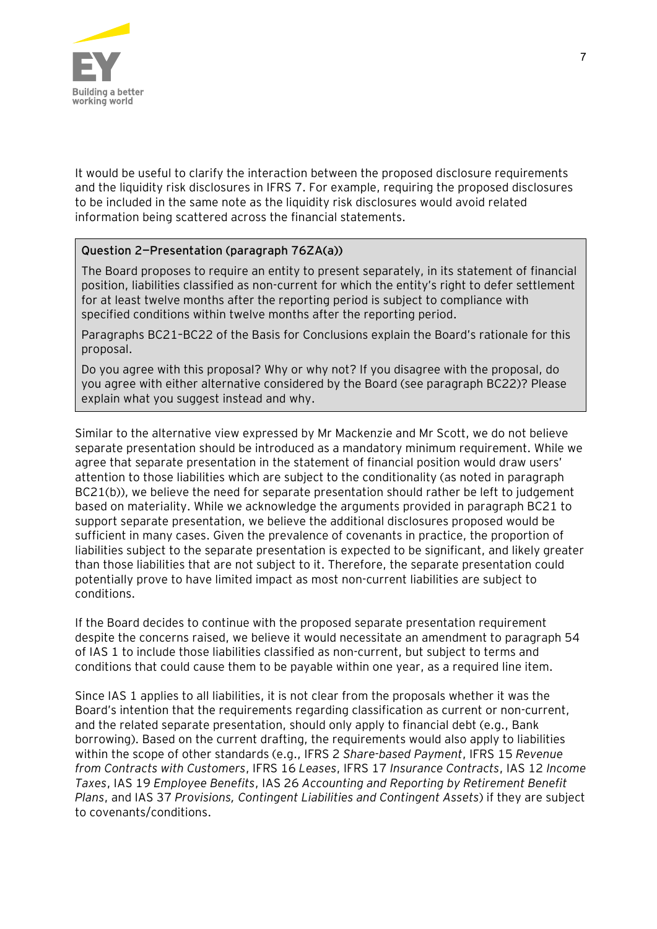

It would be useful to clarify the interaction between the proposed disclosure requirements and the liquidity risk disclosures in IFRS 7. For example, requiring the proposed disclosures to be included in the same note as the liquidity risk disclosures would avoid related information being scattered across the financial statements.

#### **Question 2—Presentation (paragraph 76ZA(a))**

The Board proposes to require an entity to present separately, in its statement of financial position, liabilities classified as non-current for which the entity's right to defer settlement for at least twelve months after the reporting period is subject to compliance with specified conditions within twelve months after the reporting period.

Paragraphs BC21–BC22 of the Basis for Conclusions explain the Board's rationale for this proposal.

Do you agree with this proposal? Why or why not? If you disagree with the proposal, do you agree with either alternative considered by the Board (see paragraph BC22)? Please explain what you suggest instead and why.

Similar to the alternative view expressed by Mr Mackenzie and Mr Scott, we do not believe separate presentation should be introduced as a mandatory minimum requirement. While we agree that separate presentation in the statement of financial position would draw users' attention to those liabilities which are subject to the conditionality (as noted in paragraph BC21(b)), we believe the need for separate presentation should rather be left to judgement based on materiality. While we acknowledge the arguments provided in paragraph BC21 to support separate presentation, we believe the additional disclosures proposed would be sufficient in many cases. Given the prevalence of covenants in practice, the proportion of liabilities subject to the separate presentation is expected to be significant, and likely greater than those liabilities that are not subject to it. Therefore, the separate presentation could potentially prove to have limited impact as most non-current liabilities are subject to conditions.

If the Board decides to continue with the proposed separate presentation requirement despite the concerns raised, we believe it would necessitate an amendment to paragraph 54 of IAS 1 to include those liabilities classified as non-current, but subject to terms and conditions that could cause them to be payable within one year, as a required line item.

Since IAS 1 applies to all liabilities, it is not clear from the proposals whether it was the Board's intention that the requirements regarding classification as current or non-current, and the related separate presentation, should only apply to financial debt (e.g., Bank borrowing). Based on the current drafting, the requirements would also apply to liabilities within the scope of other standards (e.g., IFRS 2 *Share-based Payment*, IFRS 15 *Revenue from Contracts with Customers*, IFRS 16 *Leases*, IFRS 17 *Insurance Contracts*, IAS 12 *Income Taxes*, IAS 19 *Employee Benefits*, IAS 26 *Accounting and Reporting by Retirement Benefit Plans*, and IAS 37 *Provisions, Contingent Liabilities and Contingent Assets*) if they are subject to covenants/conditions.